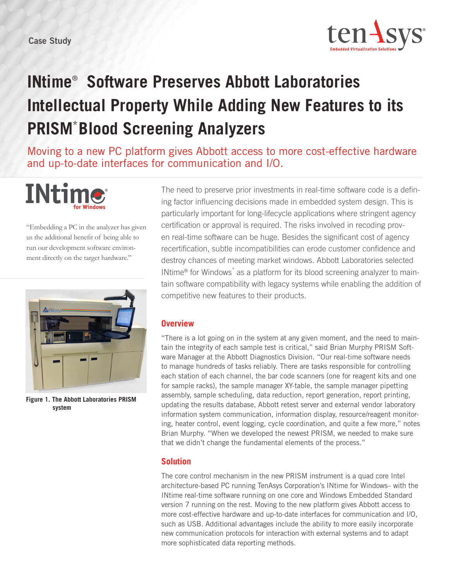

## **INtime**®  **Software Preserves Abbott Laboratories Intellectual Property While Adding New Features to its PRISM**\***Blood Screening Analyzers**

Moving to a new PC platform gives Abbott access to more cost-effective hardware and up-to-date interfaces for communication and I/O.



"Embedding a PC in the analyzer has given us the additional benefit of being able to run our development software environment directly on the target hardware."



**Figure 1. The Abbott Laboratories PRISM system** 

The need to preserve prior investments in real-time software code is a defining factor influencing decisions made in embedded system design. This is particularly important for long-lifecycle applications where stringent agency certification or approval is required. The risks involved in recoding proven real-time software can be huge. Besides the significant cost of agency recertification, subtle incompatibilities can erode customer confidence and destroy chances of meeting market windows. Abbott Laboratories selected INtime<sup>®</sup> for Windows<sup>\*</sup> as a platform for its blood screening analyzer to maintain software compatibility with legacy systems while enabling the addition of competitive new features to their products.

## **Overview**

"There is a lot going on in the system at any given moment, and the need to maintain the integrity of each sample test is critical," said Brian Murphy PRISM Software Manager at the Abbott Diagnostics Division. "Our real-time software needs to manage hundreds of tasks reliably. There are tasks responsible for controlling each station of each channel, the bar code scanners (one for reagent kits and one for sample racks), the sample manager XY-table, the sample manager pipetting assembly, sample scheduling, data reduction, report generation, report printing, updating the results database, Abbott retest server and external vendor laboratory information system communication, information display, resource/reagent monitoring, heater control, event logging, cycle coordination, and quite a few more," notes Brian Murphy. "When we developed the newest PRISM, we needed to make sure that we didn't change the fundamental elements of the process."

## **Solution**

The core control mechanism in the new PRISM instrument is a quad core Intel architecture-based PC running TenAsys Corporation's INtime for Windows– with the INtime real-time software running on one core and Windows Embedded Standard version 7 running on the rest. Moving to the new platform gives Abbott access to more cost-effective hardware and up-to-date interfaces for communication and I/O, such as USB. Additional advantages include the ability to more easily incorporate new communication protocols for interaction with external systems and to adapt more sophisticated data reporting methods.